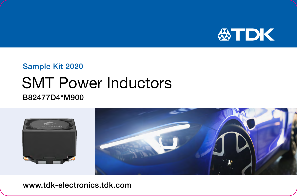

## Sample Kit 2020

# SMT Power Inductors B82477D4\*M900



www.tdk-electronics.tdk.com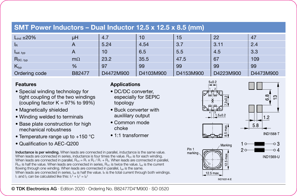## **SMT Power Inductors – Dual Inductor 12.5 x 12.5 x 8.5 (mm)** Lind ±20% µH 4.7 10 15 22 47 1<sub>R</sub> A | 5.24 | 4.54 | 3.7 | 3.11 | 2.4

| Isat. typ     |           | 10        | 6.5       | 5.5       | 4.5       | 3.3       |
|---------------|-----------|-----------|-----------|-----------|-----------|-----------|
| $R_{DC. typ}$ | $m\Omega$ | 23.2      | 35.5      | 47.5      | 67        | 109       |
| $K_{typ}$     | %         | 97        | 99        | 99        | 99        | 99        |
| Ordering code | B82477    | D4472M900 | D4103M900 | D4153M900 | D4223M900 | D4473M900 |

#### **Features**

- Special winding technology for tight coupling of the two windings (coupling factor  $K = 97\%$  to  $99\%$ )
- Magnetically shielded
- Winding welded to terminals
- Base plate construction for high mechanical robustness
- Temperature range up to +150 °C
- Qualification to AEC-Q200

#### Inductance is per winding. When leads are connected in parallel, inductance is the same value. When leads are connected in series, inductance is four times the value. B<sub>DC</sub> is for each winding. When leads are connected in parallel,  $R_{DC} = R_1 \times R_2 / R_1 + R_2$ . When leads are connected in parallel, R<sub>DC</sub> is half the value. When leads are connected in series, R<sub>DC</sub> is twice the value. Is the current flowing through one winding. When leads are connected in parallel, Isat is the same. When leads are connected in series, Isat is half the value. In is the total current through both windings.  $I_1$  and  $I_2$  can be calculated like this:  $I_1{}^2 + I_2{}^2 = I_R{}^2$

### **Applications**

- DC/DC converter, especially for SEPIC topology
- Buck converter with auxililary output
- Common mode choke
- 1:1 transformer



Pin 1 marki





IND1631-K-F



**IND1569 U** 

© TDK Electronics AG · Edition 2020 · Ordering No. B82477D4\*M900 · SO 0520